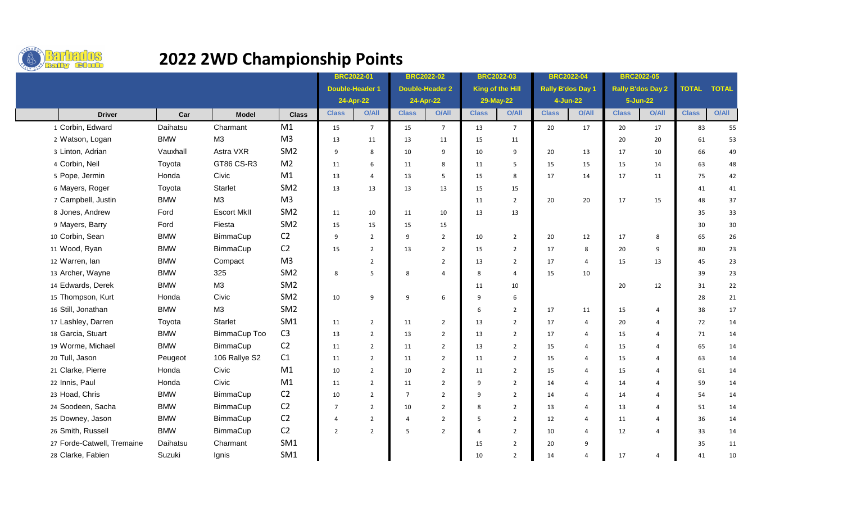

## **2022 2WD Championship Points**

|                            |            |                    |                 | <b>BRC2022-01</b>      |                | <b>BRC2022-02</b>      |                | <b>BRC2022-03</b> |                 | <b>BRC2022-04</b>        |                | <b>BRC2022-05</b>        |                |              |              |
|----------------------------|------------|--------------------|-----------------|------------------------|----------------|------------------------|----------------|-------------------|-----------------|--------------------------|----------------|--------------------------|----------------|--------------|--------------|
|                            |            |                    |                 | <b>Double-Header 1</b> |                | <b>Double-Header 2</b> |                | King of the Hill  |                 | <b>Rally B'dos Day 1</b> |                | <b>Rally B'dos Day 2</b> |                | <b>TOTAL</b> | <b>TOTAL</b> |
|                            |            |                    |                 | 24-Apr-22              |                | 24-Apr-22              |                | 29-May-22         |                 | 4-Jun-22                 |                | 5-Jun-22                 |                |              |              |
| <b>Driver</b>              | Car        | <b>Model</b>       | <b>Class</b>    | <b>Class</b>           | <b>O/All</b>   | <b>Class</b>           | <b>O/All</b>   | <b>Class</b>      | O/All           | <b>Class</b>             | <b>O/All</b>   | <b>Class</b>             | <b>O/All</b>   | <b>Class</b> | <b>O/All</b> |
| 1 Corbin, Edward           | Daihatsu   | Charmant           | M1              | 15                     | $\overline{7}$ | 15                     | $\overline{7}$ | 13                | $7\overline{ }$ | 20                       | 17             | 20                       | 17             | 83           | 55           |
| 2 Watson, Logan            | <b>BMW</b> | M3                 | M <sub>3</sub>  | 13                     | 11             | 13                     | 11             | 15                | 11              |                          |                | 20                       | 20             | 61           | 53           |
| 3 Linton, Adrian           | Vauxhall   | Astra VXR          | SM <sub>2</sub> | 9                      | 8              | 10                     | 9              | 10                | 9               | 20                       | 13             | 17                       | 10             | 66           | 49           |
| 4 Corbin, Neil             | Toyota     | GT86 CS-R3         | M <sub>2</sub>  | 11                     | 6              | 11                     | 8              | 11                | 5               | 15                       | 15             | 15                       | 14             | 63           | 48           |
| 5 Pope, Jermin             | Honda      | Civic              | M1              | 13                     | $\overline{4}$ | 13                     | 5              | 15                | 8               | 17                       | 14             | 17                       | 11             | 75           | 42           |
| 6 Mayers, Roger            | Toyota     | Starlet            | SM <sub>2</sub> | 13                     | 13             | 13                     | 13             | 15                | 15              |                          |                |                          |                | 41           | 41           |
| 7 Campbell, Justin         | <b>BMW</b> | M3                 | M <sub>3</sub>  |                        |                |                        |                | 11                | 2               | 20                       | 20             | 17                       | 15             | 48           | 37           |
| 8 Jones, Andrew            | Ford       | <b>Escort MkII</b> | SM <sub>2</sub> | 11                     | 10             | 11                     | 10             | 13                | 13              |                          |                |                          |                | 35           | 33           |
| 9 Mayers, Barry            | Ford       | Fiesta             | SM <sub>2</sub> | 15                     | 15             | 15                     | 15             |                   |                 |                          |                |                          |                | 30           | $30\,$       |
| 10 Corbin, Sean            | <b>BMW</b> | BimmaCup           | C <sub>2</sub>  | 9                      | $\overline{2}$ | $\overline{9}$         | $\overline{2}$ | 10                | $\overline{2}$  | 20                       | 12             | 17                       | 8              | 65           | 26           |
| 11 Wood, Ryan              | <b>BMW</b> | BimmaCup           | C <sub>2</sub>  | 15                     | $\overline{2}$ | 13                     | $\overline{2}$ | 15                | $\overline{2}$  | 17                       | 8              | 20                       | 9              | 80           | 23           |
| 12 Warren, lan             | <b>BMW</b> | Compact            | M <sub>3</sub>  |                        | $\overline{2}$ |                        | $\overline{2}$ | 13                | $\overline{2}$  | 17                       | 4              | 15                       | 13             | 45           | 23           |
| 13 Archer, Wayne           | <b>BMW</b> | 325                | SM <sub>2</sub> | 8                      | 5              | 8                      | $\overline{4}$ | 8                 | $\overline{4}$  | 15                       | 10             |                          |                | 39           | 23           |
| 14 Edwards, Derek          | <b>BMW</b> | M3                 | SM <sub>2</sub> |                        |                |                        |                | 11                | 10              |                          |                | 20                       | 12             | 31           | 22           |
| 15 Thompson, Kurt          | Honda      | Civic              | SM <sub>2</sub> | 10                     | 9              | 9                      | 6              | 9                 | 6               |                          |                |                          |                | 28           | 21           |
| 16 Still, Jonathan         | <b>BMW</b> | M3                 | SM <sub>2</sub> |                        |                |                        |                | 6                 | $\overline{2}$  | 17                       | 11             | 15                       | $\overline{4}$ | 38           | 17           |
| 17 Lashley, Darren         | Toyota     | <b>Starlet</b>     | SM <sub>1</sub> | 11                     | $\overline{2}$ | 11                     | $\overline{2}$ | 13                | $\overline{2}$  | 17                       | 4              | 20                       | $\overline{4}$ | 72           | 14           |
| 18 Garcia, Stuart          | <b>BMW</b> | BimmaCup Too       | C <sub>3</sub>  | 13                     | $\overline{2}$ | 13                     | $\overline{2}$ | 13                | $\overline{2}$  | 17                       | $\overline{4}$ | 15                       | 4              | 71           | 14           |
| 19 Worme, Michael          | <b>BMW</b> | BimmaCup           | C <sub>2</sub>  | 11                     | $\overline{2}$ | 11                     | $\overline{2}$ | 13                | $\overline{2}$  | 15                       | 4              | 15                       | $\overline{4}$ | 65           | 14           |
| 20 Tull, Jason             | Peugeot    | 106 Rallye S2      | C1              | 11                     | $\overline{2}$ | 11                     | $\overline{2}$ | 11                | $\overline{2}$  | 15                       | $\overline{4}$ | 15                       | $\overline{a}$ | 63           | 14           |
| 21 Clarke, Pierre          | Honda      | Civic              | M1              | 10                     | $\overline{2}$ | 10                     | $\overline{2}$ | 11                | $\overline{2}$  | 15                       | 4              | 15                       | $\overline{4}$ | 61           | 14           |
| 22 Innis, Paul             | Honda      | Civic              | M <sub>1</sub>  | 11                     | $\overline{2}$ | 11                     | $\overline{2}$ | 9                 | $\overline{2}$  | 14                       | 4              | 14                       | $\overline{4}$ | 59           | 14           |
| 23 Hoad, Chris             | <b>BMW</b> | BimmaCup           | C <sub>2</sub>  | 10                     | $\overline{2}$ | $\overline{7}$         | $\overline{2}$ | 9                 | $\overline{2}$  | 14                       | $\overline{4}$ | 14                       | $\overline{a}$ | 54           | 14           |
| 24 Soodeen, Sacha          | <b>BMW</b> | BimmaCup           | C <sub>2</sub>  | $\overline{7}$         | $\overline{2}$ | 10                     | $\overline{2}$ | 8                 | $\overline{2}$  | 13                       | $\overline{4}$ | 13                       | $\overline{4}$ | 51           | 14           |
| 25 Downey, Jason           | <b>BMW</b> | BimmaCup           | C <sub>2</sub>  | $\overline{4}$         | $\overline{2}$ | $\overline{4}$         | $\overline{2}$ | 5                 | $\overline{2}$  | 12                       | 4              | 11                       | $\overline{4}$ | 36           | 14           |
| 26 Smith, Russell          | <b>BMW</b> | BimmaCup           | C <sub>2</sub>  | $\overline{2}$         | $\overline{2}$ | 5                      | $\overline{2}$ | $\overline{4}$    | $\overline{2}$  | 10                       | $\overline{4}$ | 12                       | $\overline{4}$ | 33           | 14           |
| 27 Forde-Catwell, Tremaine | Daihatsu   | Charmant           | SM <sub>1</sub> |                        |                |                        |                | 15                | $\overline{2}$  | 20                       | 9              |                          |                | 35           | 11           |
| 28 Clarke, Fabien          | Suzuki     | Ignis              | SM1             |                        |                |                        |                | 10                | $\overline{2}$  | 14                       | 4              | 17                       | $\overline{4}$ | 41           | 10           |